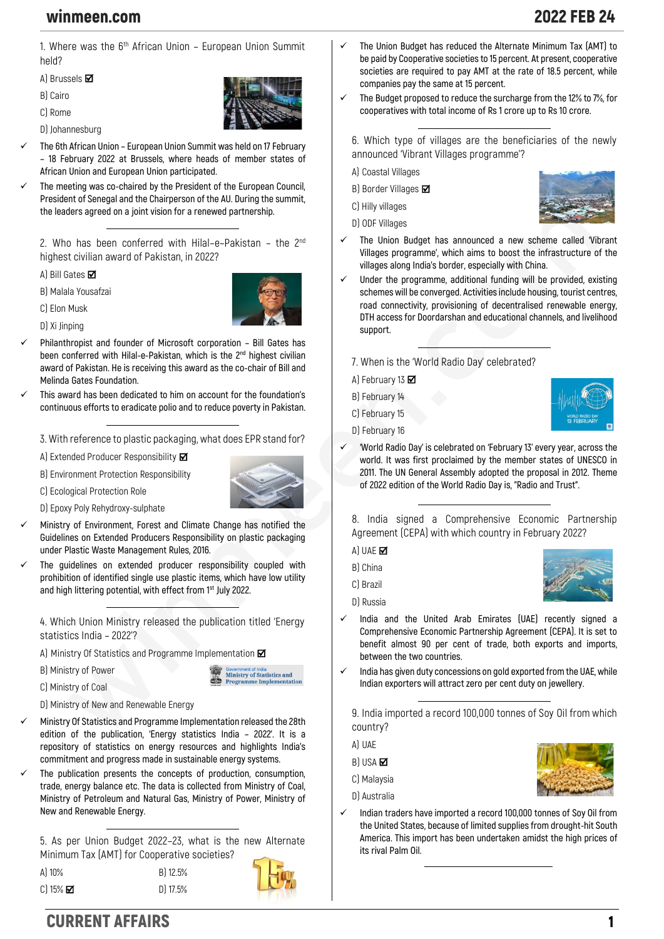## winmeen.com 2022 FEB 24

**1. Where was the 6th African Union – European Union Summit held?**

**A) Brussels** 

- **B) Cairo**
- **C) Rome**
- **D) Johannesburg**



- ✓ **The 6th African Union – European Union Summit was held on 17 February – 18 February 2022 at Brussels, where heads of member states of African Union and European Union participated.**
- The meeting was co-chaired by the President of the European Council, **President of Senegal and the Chairperson of the AU. During the summit, the leaders agreed on a joint vision for a renewed partnership.**

**2. Who has been conferred with Hilal–e–Pakistan – the 2nd highest civilian award of Pakistan, in 2022?**

**A) Bill Gates** 

**B) Malala Yousafzai**



**C) Elon Musk D) Xi Jinping**

- ✓ **Philanthropist and founder of Microsoft corporation – Bill Gates has been conferred with Hilal-e-Pakistan, which is the 2nd highest civilian award of Pakistan. He is receiving this award as the co-chair of Bill and Melinda Gates Foundation.**
- ✓ **This award has been dedicated to him on account for the foundation's continuous efforts to eradicate polio and to reduce poverty in Pakistan.**

**3. With reference to plastic packaging, what does EPR stand for?**

**A) Extended Producer Responsibility**

**B) Environment Protection Responsibility**





- **D) Epoxy Poly Rehydroxy-sulphate**
- ✓ **Ministry of Environment, Forest and Climate Change has notified the Guidelines on Extended Producers Responsibility on plastic packaging under Plastic Waste Management Rules, 2016.**
- ✓ **The guidelines on extended producer responsibility coupled with prohibition of identified single use plastic items, which have low utility and high littering potential, with effect from 1st July 2022.**

**4. Which Union Ministry released the publication titled 'Energy statistics India – 2022'?**

**A) Ministry Of Statistics and Programme Implementation**

**B) Ministry of Power**

Government of India<br>Ministry of Statistics and me Implementatio

**C) Ministry of Coal**

**D) Ministry of New and Renewable Energy**

- ✓ **Ministry Of Statistics and Programme Implementation released the 28th edition of the publication, 'Energy statistics India – 2022'. It is a repository of statistics on energy resources and highlights India's commitment and progress made in sustainable energy systems.**
- The publication presents the concepts of production, consumption, **trade, energy balance etc. The data is collected from Ministry of Coal, Ministry of Petroleum and Natural Gas, Ministry of Power, Ministry of New and Renewable Energy.**

**5. As per Union Budget 2022–23, what is the new Alternate Minimum Tax (AMT) for Cooperative societies?**

**A) 10% B) 12.5% C) 15% D) 17.5%**



- ✓ **The Union Budget has reduced the Alternate Minimum Tax (AMT) to be paid by Cooperative societies to 15 percent. At present, cooperative societies are required to pay AMT at the rate of 18.5 percent, while companies pay the same at 15 percent.**
- ✓ **The Budget proposed to reduce the surcharge from the 12% to 7%, for cooperatives with total income of Rs 1 crore up to Rs 10 crore.**

**6. Which type of villages are the beneficiaries of the newly announced 'Vibrant Villages programme'?**

**A) Coastal Villages**

**B) Border Villages**

**C) Hilly villages**

**D) ODF Villages**



- The Union Budget has announced a new scheme called 'Vibrant **Villages programme', which aims to boost the infrastructure of the villages along India's border, especially with China.**
- ✓ **Under the programme, additional funding will be provided, existing schemes will be converged. Activities include housing, tourist centres, road connectivity, provisioning of decentralised renewable energy, DTH access for Doordarshan and educational channels, and livelihood support.**
	- **7. When is the 'World Radio Day' celebrated?**
	- **A) February 13**
	- **B) February 14**
	- **C) February 15**
	- **D) February 16**



✓ **'World Radio Day' is celebrated on 'February 13' every year, across the world. It was first proclaimed by the member states of UNESCO in 2011. The UN General Assembly adopted the proposal in 2012. Theme of 2022 edition of the World Radio Day is, "Radio and Trust".**

**8. India signed a Comprehensive Economic Partnership Agreement (CEPA) with which country in February 2022?**

- **A) UAE**
- **B) China**
- **C) Brazil**
- **D) Russia**
- 
- ✓ **India and the United Arab Emirates (UAE) recently signed a Comprehensive Economic Partnership Agreement (CEPA). It is set to benefit almost 90 per cent of trade, both exports and imports, between the two countries.**
- ✓ **India has given duty concessions on gold exported from the UAE, while Indian exporters will attract zero per cent duty on jewellery.**

**9. India imported a record 100,000 tonnes of Soy Oil from which country?**

**A) UAE**

- **B) USA Ø**
- **C) Malaysia**
- **D) Australia**
- ✓ **Indian traders have imported a record 100,000 tonnes of Soy Oil from the United States, because of limited supplies from drought-hit South America. This import has been undertaken amidst the high prices of its rival Palm Oil.**